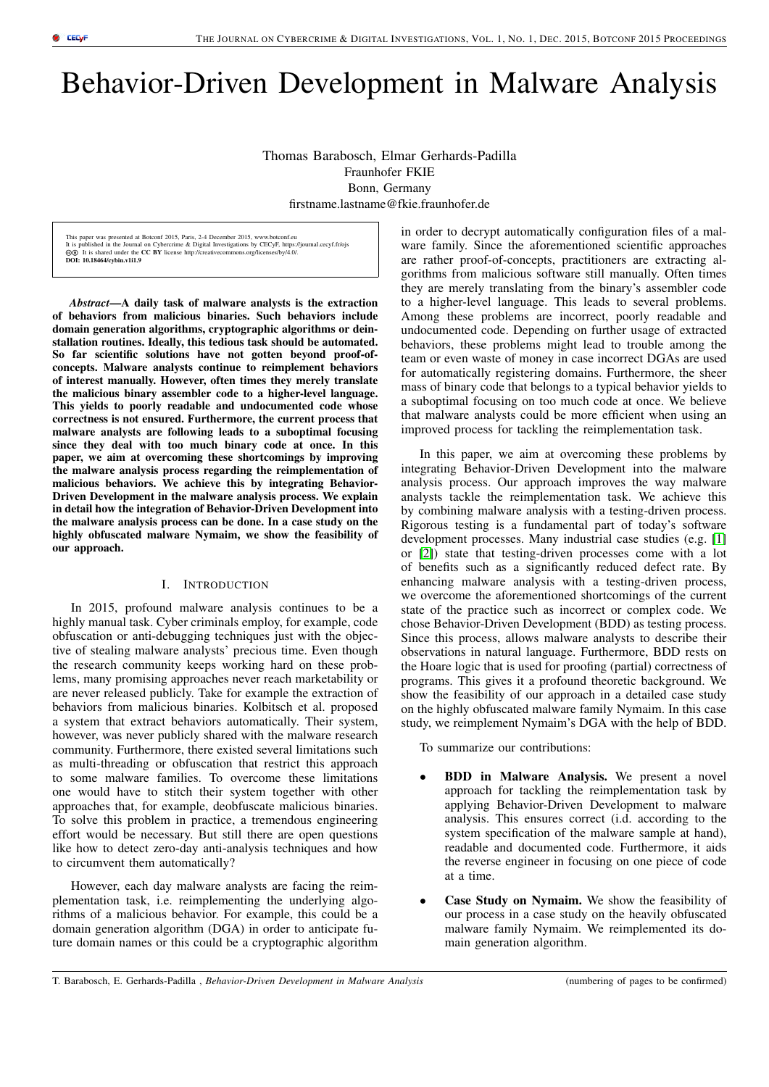# Behavior-Driven Development in Malware Analysis

Thomas Barabosch, Elmar Gerhards-Padilla Fraunhofer FKIE Bonn, Germany firstname.lastname@fkie.fraunhofer.de

This paper was presented at Botconf 2015, Paris, 2-4 December 2015, www.botconf.eu It is published in the Journal on Cybercrime & Digital Investigations by CECyF, https://journal.cecyf.fr/ojs<br>⑥① It is shared under the CC BY license http://creativecommons.org/licenses/by/4.0/. DOI: 10.18464/cybin.v1i1.9

*Abstract*—A daily task of malware analysts is the extraction of behaviors from malicious binaries. Such behaviors include domain generation algorithms, cryptographic algorithms or deinstallation routines. Ideally, this tedious task should be automated. So far scientific solutions have not gotten beyond proof-ofconcepts. Malware analysts continue to reimplement behaviors of interest manually. However, often times they merely translate the malicious binary assembler code to a higher-level language. This yields to poorly readable and undocumented code whose correctness is not ensured. Furthermore, the current process that malware analysts are following leads to a suboptimal focusing since they deal with too much binary code at once. In this paper, we aim at overcoming these shortcomings by improving the malware analysis process regarding the reimplementation of malicious behaviors. We achieve this by integrating Behavior-Driven Development in the malware analysis process. We explain in detail how the integration of Behavior-Driven Development into the malware analysis process can be done. In a case study on the highly obfuscated malware Nymaim, we show the feasibility of our approach.

# I. INTRODUCTION

In 2015, profound malware analysis continues to be a highly manual task. Cyber criminals employ, for example, code obfuscation or anti-debugging techniques just with the objective of stealing malware analysts' precious time. Even though the research community keeps working hard on these problems, many promising approaches never reach marketability or are never released publicly. Take for example the extraction of behaviors from malicious binaries. Kolbitsch et al. proposed a system that extract behaviors automatically. Their system, however, was never publicly shared with the malware research community. Furthermore, there existed several limitations such as multi-threading or obfuscation that restrict this approach to some malware families. To overcome these limitations one would have to stitch their system together with other approaches that, for example, deobfuscate malicious binaries. To solve this problem in practice, a tremendous engineering effort would be necessary. But still there are open questions like how to detect zero-day anti-analysis techniques and how to circumvent them automatically?

However, each day malware analysts are facing the reimplementation task, i.e. reimplementing the underlying algorithms of a malicious behavior. For example, this could be a domain generation algorithm (DGA) in order to anticipate future domain names or this could be a cryptographic algorithm in order to decrypt automatically configuration files of a malware family. Since the aforementioned scientific approaches are rather proof-of-concepts, practitioners are extracting algorithms from malicious software still manually. Often times they are merely translating from the binary's assembler code to a higher-level language. This leads to several problems. Among these problems are incorrect, poorly readable and undocumented code. Depending on further usage of extracted behaviors, these problems might lead to trouble among the team or even waste of money in case incorrect DGAs are used for automatically registering domains. Furthermore, the sheer mass of binary code that belongs to a typical behavior yields to a suboptimal focusing on too much code at once. We believe that malware analysts could be more efficient when using an improved process for tackling the reimplementation task.

In this paper, we aim at overcoming these problems by integrating Behavior-Driven Development into the malware analysis process. Our approach improves the way malware analysts tackle the reimplementation task. We achieve this by combining malware analysis with a testing-driven process. Rigorous testing is a fundamental part of today's software development processes. Many industrial case studies (e.g. [\[1\]](#page-6-0) or [\[2\]](#page-6-1)) state that testing-driven processes come with a lot of benefits such as a significantly reduced defect rate. By enhancing malware analysis with a testing-driven process, we overcome the aforementioned shortcomings of the current state of the practice such as incorrect or complex code. We chose Behavior-Driven Development (BDD) as testing process. Since this process, allows malware analysts to describe their observations in natural language. Furthermore, BDD rests on the Hoare logic that is used for proofing (partial) correctness of programs. This gives it a profound theoretic background. We show the feasibility of our approach in a detailed case study on the highly obfuscated malware family Nymaim. In this case study, we reimplement Nymaim's DGA with the help of BDD.

To summarize our contributions:

- **BDD** in Malware Analysis. We present a novel approach for tackling the reimplementation task by applying Behavior-Driven Development to malware analysis. This ensures correct (i.d. according to the system specification of the malware sample at hand), readable and documented code. Furthermore, it aids the reverse engineer in focusing on one piece of code at a time.
- Case Study on Nymaim. We show the feasibility of our process in a case study on the heavily obfuscated malware family Nymaim. We reimplemented its domain generation algorithm.

T. Barabosch, E. Gerhards-Padilla , *Behavior-Driven Development in Malware Analysis* (numbering of pages to be confirmed)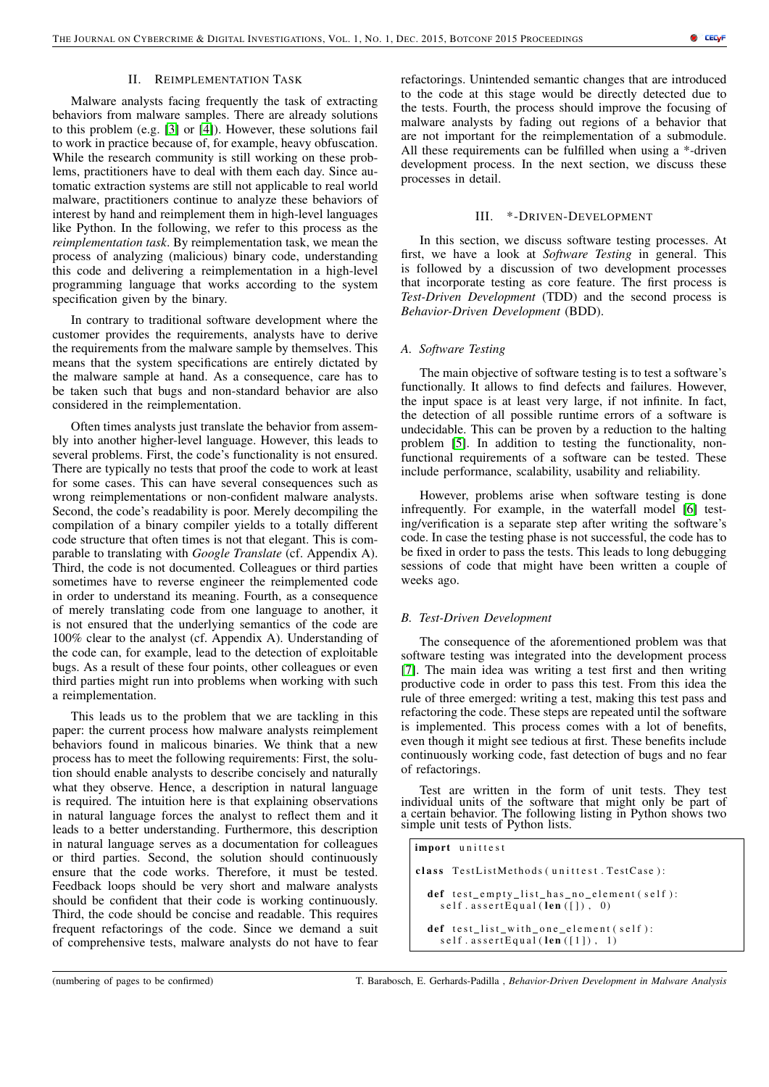# II. REIMPLEMENTATION TASK

<span id="page-1-0"></span>Malware analysts facing frequently the task of extracting behaviors from malware samples. There are already solutions to this problem (e.g. [\[3\]](#page-6-2) or [\[4\]](#page-6-3)). However, these solutions fail to work in practice because of, for example, heavy obfuscation. While the research community is still working on these problems, practitioners have to deal with them each day. Since automatic extraction systems are still not applicable to real world malware, practitioners continue to analyze these behaviors of interest by hand and reimplement them in high-level languages like Python. In the following, we refer to this process as the *reimplementation task*. By reimplementation task, we mean the process of analyzing (malicious) binary code, understanding this code and delivering a reimplementation in a high-level programming language that works according to the system specification given by the binary.

In contrary to traditional software development where the customer provides the requirements, analysts have to derive the requirements from the malware sample by themselves. This means that the system specifications are entirely dictated by the malware sample at hand. As a consequence, care has to be taken such that bugs and non-standard behavior are also considered in the reimplementation.

Often times analysts just translate the behavior from assembly into another higher-level language. However, this leads to several problems. First, the code's functionality is not ensured. There are typically no tests that proof the code to work at least for some cases. This can have several consequences such as wrong reimplementations or non-confident malware analysts. Second, the code's readability is poor. Merely decompiling the compilation of a binary compiler yields to a totally different code structure that often times is not that elegant. This is comparable to translating with *Google Translate* (cf. Appendix A). Third, the code is not documented. Colleagues or third parties sometimes have to reverse engineer the reimplemented code in order to understand its meaning. Fourth, as a consequence of merely translating code from one language to another, it is not ensured that the underlying semantics of the code are 100% clear to the analyst (cf. Appendix A). Understanding of the code can, for example, lead to the detection of exploitable bugs. As a result of these four points, other colleagues or even third parties might run into problems when working with such a reimplementation.

This leads us to the problem that we are tackling in this paper: the current process how malware analysts reimplement behaviors found in malicous binaries. We think that a new process has to meet the following requirements: First, the solution should enable analysts to describe concisely and naturally what they observe. Hence, a description in natural language is required. The intuition here is that explaining observations in natural language forces the analyst to reflect them and it leads to a better understanding. Furthermore, this description in natural language serves as a documentation for colleagues or third parties. Second, the solution should continuously ensure that the code works. Therefore, it must be tested. Feedback loops should be very short and malware analysts should be confident that their code is working continuously. Third, the code should be concise and readable. This requires frequent refactorings of the code. Since we demand a suit of comprehensive tests, malware analysts do not have to fear

refactorings. Unintended semantic changes that are introduced to the code at this stage would be directly detected due to the tests. Fourth, the process should improve the focusing of malware analysts by fading out regions of a behavior that are not important for the reimplementation of a submodule. All these requirements can be fulfilled when using a \*-driven development process. In the next section, we discuss these processes in detail.

# III. \*-DRIVEN-DEVELOPMENT

In this section, we discuss software testing processes. At first, we have a look at *Software Testing* in general. This is followed by a discussion of two development processes that incorporate testing as core feature. The first process is *Test-Driven Development* (TDD) and the second process is *Behavior-Driven Development* (BDD).

## *A. Software Testing*

The main objective of software testing is to test a software's functionally. It allows to find defects and failures. However, the input space is at least very large, if not infinite. In fact, the detection of all possible runtime errors of a software is undecidable. This can be proven by a reduction to the halting problem [\[5\]](#page-6-4). In addition to testing the functionality, nonfunctional requirements of a software can be tested. These include performance, scalability, usability and reliability.

However, problems arise when software testing is done infrequently. For example, in the waterfall model [\[6\]](#page-6-5) testing/verification is a separate step after writing the software's code. In case the testing phase is not successful, the code has to be fixed in order to pass the tests. This leads to long debugging sessions of code that might have been written a couple of weeks ago.

# *B. Test-Driven Development*

The consequence of the aforementioned problem was that software testing was integrated into the development process [\[7\]](#page-6-6). The main idea was writing a test first and then writing productive code in order to pass this test. From this idea the rule of three emerged: writing a test, making this test pass and refactoring the code. These steps are repeated until the software is implemented. This process comes with a lot of benefits, even though it might see tedious at first. These benefits include continuously working code, fast detection of bugs and no fear of refactorings.

Test are written in the form of unit tests. They test individual units of the software that might only be part of a certain behavior. The following listing in Python shows two simple unit tests of Python lists.

import unittest class TestListMethods (unittest. TestCase): def test\_empty\_list\_has\_no\_element (self):  $self. assertEqual (len ([]) , 0)$ def test\_list\_with\_one\_element (self):  $self. assertEqual (len ([1]), 1)$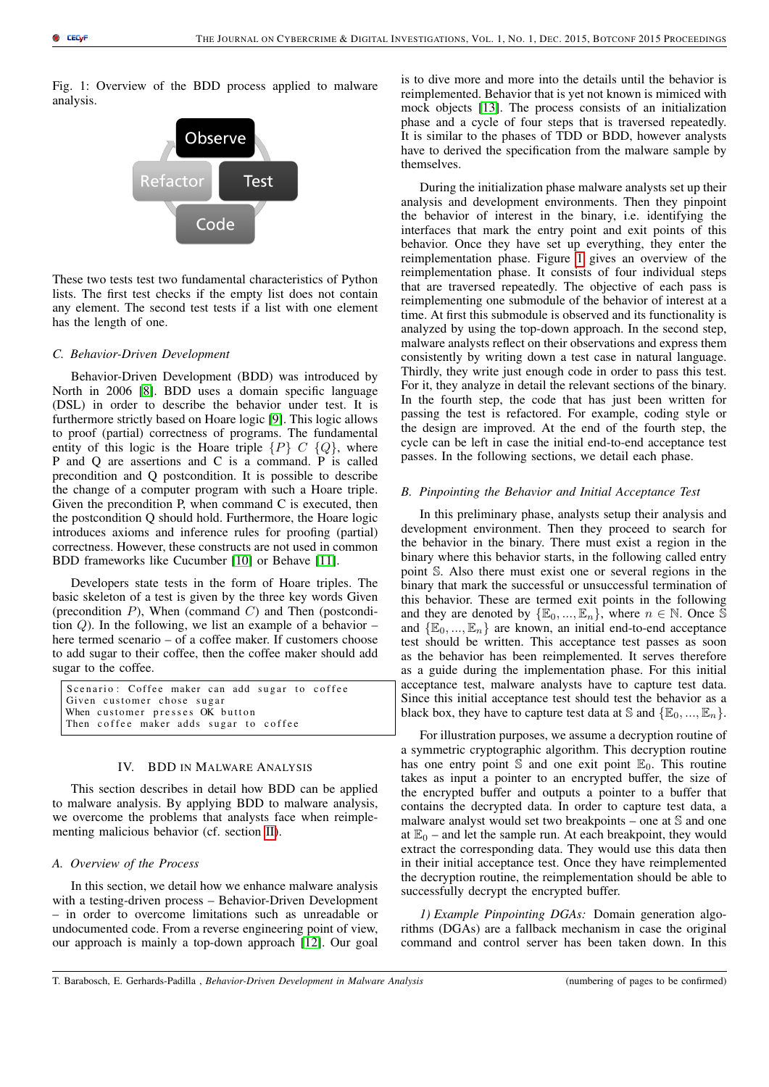<span id="page-2-0"></span>Fig. 1: Overview of the BDD process applied to malware analysis.



These two tests test two fundamental characteristics of Python lists. The first test checks if the empty list does not contain any element. The second test tests if a list with one element has the length of one.

## *C. Behavior-Driven Development*

Behavior-Driven Development (BDD) was introduced by North in 2006 [\[8\]](#page-6-7). BDD uses a domain specific language (DSL) in order to describe the behavior under test. It is furthermore strictly based on Hoare logic [\[9\]](#page-6-8). This logic allows to proof (partial) correctness of programs. The fundamental entity of this logic is the Hoare triple  $\{P\}$  C  $\{Q\}$ , where P and Q are assertions and C is a command. P is called precondition and Q postcondition. It is possible to describe the change of a computer program with such a Hoare triple. Given the precondition P, when command C is executed, then the postcondition Q should hold. Furthermore, the Hoare logic introduces axioms and inference rules for proofing (partial) correctness. However, these constructs are not used in common BDD frameworks like Cucumber [\[10\]](#page-6-9) or Behave [\[11\]](#page-6-10).

Developers state tests in the form of Hoare triples. The basic skeleton of a test is given by the three key words Given (precondition  $P$ ), When (command  $C$ ) and Then (postcondition  $Q$ ). In the following, we list an example of a behavior – here termed scenario – of a coffee maker. If customers choose to add sugar to their coffee, then the coffee maker should add sugar to the coffee.

Scenario: Coffee maker can add sugar to coffee Given customer chose sugar When customer presses OK button Then coffee maker adds sugar to coffee

# IV. BDD IN MALWARE ANALYSIS

This section describes in detail how BDD can be applied to malware analysis. By applying BDD to malware analysis, we overcome the problems that analysts face when reimplementing malicious behavior (cf. section [II\)](#page-1-0).

## *A. Overview of the Process*

In this section, we detail how we enhance malware analysis with a testing-driven process – Behavior-Driven Development – in order to overcome limitations such as unreadable or undocumented code. From a reverse engineering point of view, our approach is mainly a top-down approach [\[12\]](#page-6-11). Our goal is to dive more and more into the details until the behavior is reimplemented. Behavior that is yet not known is mimiced with mock objects [\[13\]](#page-7-0). The process consists of an initialization phase and a cycle of four steps that is traversed repeatedly. It is similar to the phases of TDD or BDD, however analysts have to derived the specification from the malware sample by themselves.

During the initialization phase malware analysts set up their analysis and development environments. Then they pinpoint the behavior of interest in the binary, i.e. identifying the interfaces that mark the entry point and exit points of this behavior. Once they have set up everything, they enter the reimplementation phase. Figure [1](#page-2-0) gives an overview of the reimplementation phase. It consists of four individual steps that are traversed repeatedly. The objective of each pass is reimplementing one submodule of the behavior of interest at a time. At first this submodule is observed and its functionality is analyzed by using the top-down approach. In the second step, malware analysts reflect on their observations and express them consistently by writing down a test case in natural language. Thirdly, they write just enough code in order to pass this test. For it, they analyze in detail the relevant sections of the binary. In the fourth step, the code that has just been written for passing the test is refactored. For example, coding style or the design are improved. At the end of the fourth step, the cycle can be left in case the initial end-to-end acceptance test passes. In the following sections, we detail each phase.

## *B. Pinpointing the Behavior and Initial Acceptance Test*

In this preliminary phase, analysts setup their analysis and development environment. Then they proceed to search for the behavior in the binary. There must exist a region in the binary where this behavior starts, in the following called entry point S. Also there must exist one or several regions in the binary that mark the successful or unsuccessful termination of this behavior. These are termed exit points in the following and they are denoted by  $\{\mathbb{E}_0, ..., \mathbb{E}_n\}$ , where  $n \in \mathbb{N}$ . Once S and  $\{E_0, ..., E_n\}$  are known, an initial end-to-end acceptance test should be written. This acceptance test passes as soon as the behavior has been reimplemented. It serves therefore as a guide during the implementation phase. For this initial acceptance test, malware analysts have to capture test data. Since this initial acceptance test should test the behavior as a black box, they have to capture test data at S and  $\{\mathbb{E}_0, ..., \mathbb{E}_n\}$ .

For illustration purposes, we assume a decryption routine of a symmetric cryptographic algorithm. This decryption routine has one entry point  $\mathbb S$  and one exit point  $\mathbb E_0$ . This routine takes as input a pointer to an encrypted buffer, the size of the encrypted buffer and outputs a pointer to a buffer that contains the decrypted data. In order to capture test data, a malware analyst would set two breakpoints – one at  $S$  and one at  $\mathbb{E}_0$  – and let the sample run. At each breakpoint, they would extract the corresponding data. They would use this data then in their initial acceptance test. Once they have reimplemented the decryption routine, the reimplementation should be able to successfully decrypt the encrypted buffer.

*1) Example Pinpointing DGAs:* Domain generation algorithms (DGAs) are a fallback mechanism in case the original command and control server has been taken down. In this

T. Barabosch, E. Gerhards-Padilla , *Behavior-Driven Development in Malware Analysis* (numbering of pages to be confirmed)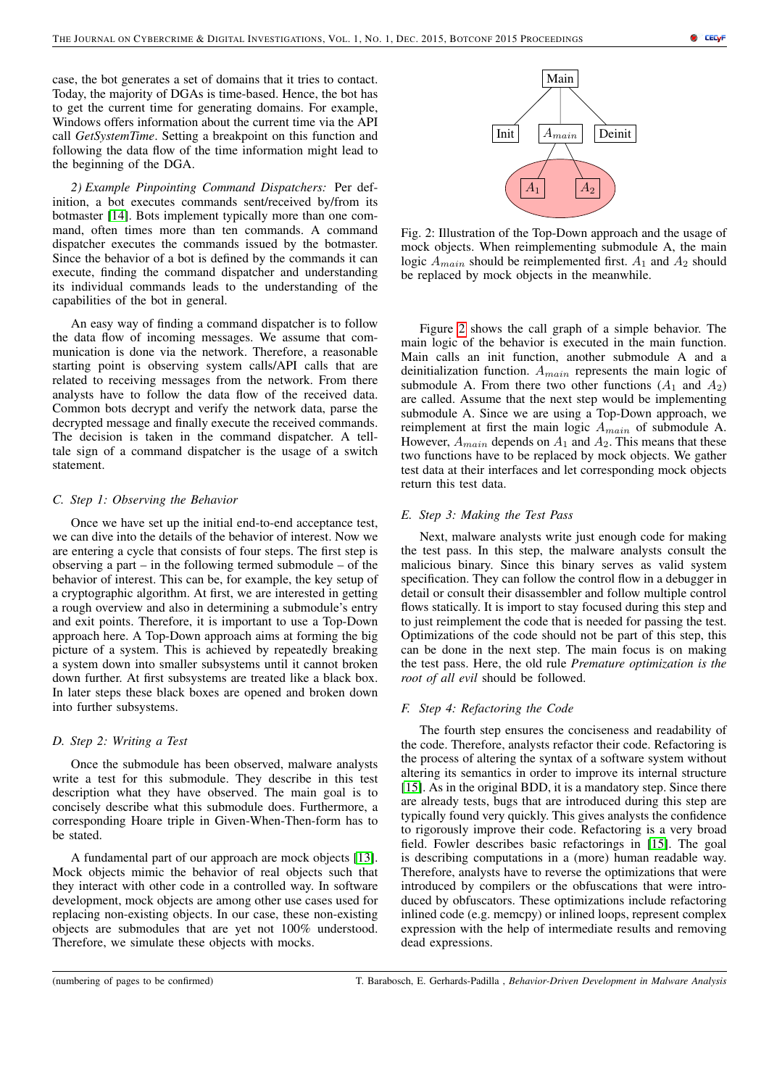case, the bot generates a set of domains that it tries to contact. Today, the majority of DGAs is time-based. Hence, the bot has to get the current time for generating domains. For example, Windows offers information about the current time via the API call *GetSystemTime*. Setting a breakpoint on this function and following the data flow of the time information might lead to the beginning of the DGA.

*2) Example Pinpointing Command Dispatchers:* Per definition, a bot executes commands sent/received by/from its botmaster [\[14\]](#page-7-1). Bots implement typically more than one command, often times more than ten commands. A command dispatcher executes the commands issued by the botmaster. Since the behavior of a bot is defined by the commands it can execute, finding the command dispatcher and understanding its individual commands leads to the understanding of the capabilities of the bot in general.

An easy way of finding a command dispatcher is to follow the data flow of incoming messages. We assume that communication is done via the network. Therefore, a reasonable starting point is observing system calls/API calls that are related to receiving messages from the network. From there analysts have to follow the data flow of the received data. Common bots decrypt and verify the network data, parse the decrypted message and finally execute the received commands. The decision is taken in the command dispatcher. A telltale sign of a command dispatcher is the usage of a switch statement.

# *C. Step 1: Observing the Behavior*

Once we have set up the initial end-to-end acceptance test, we can dive into the details of the behavior of interest. Now we are entering a cycle that consists of four steps. The first step is observing a part – in the following termed submodule – of the behavior of interest. This can be, for example, the key setup of a cryptographic algorithm. At first, we are interested in getting a rough overview and also in determining a submodule's entry and exit points. Therefore, it is important to use a Top-Down approach here. A Top-Down approach aims at forming the big picture of a system. This is achieved by repeatedly breaking a system down into smaller subsystems until it cannot broken down further. At first subsystems are treated like a black box. In later steps these black boxes are opened and broken down into further subsystems.

# *D. Step 2: Writing a Test*

Once the submodule has been observed, malware analysts write a test for this submodule. They describe in this test description what they have observed. The main goal is to concisely describe what this submodule does. Furthermore, a corresponding Hoare triple in Given-When-Then-form has to be stated.

A fundamental part of our approach are mock objects [\[13\]](#page-7-0). Mock objects mimic the behavior of real objects such that they interact with other code in a controlled way. In software development, mock objects are among other use cases used for replacing non-existing objects. In our case, these non-existing objects are submodules that are yet not 100% understood. Therefore, we simulate these objects with mocks.

<span id="page-3-0"></span>

Fig. 2: Illustration of the Top-Down approach and the usage of mock objects. When reimplementing submodule A, the main logic  $A_{main}$  should be reimplemented first.  $A_1$  and  $A_2$  should be replaced by mock objects in the meanwhile.

Figure [2](#page-3-0) shows the call graph of a simple behavior. The main logic of the behavior is executed in the main function. Main calls an init function, another submodule A and a deinitialization function.  $A_{main}$  represents the main logic of submodule A. From there two other functions  $(A_1 \text{ and } A_2)$ are called. Assume that the next step would be implementing submodule A. Since we are using a Top-Down approach, we reimplement at first the main logic  $A_{main}$  of submodule A. However,  $A_{main}$  depends on  $A_1$  and  $A_2$ . This means that these two functions have to be replaced by mock objects. We gather test data at their interfaces and let corresponding mock objects return this test data.

# *E. Step 3: Making the Test Pass*

Next, malware analysts write just enough code for making the test pass. In this step, the malware analysts consult the malicious binary. Since this binary serves as valid system specification. They can follow the control flow in a debugger in detail or consult their disassembler and follow multiple control flows statically. It is import to stay focused during this step and to just reimplement the code that is needed for passing the test. Optimizations of the code should not be part of this step, this can be done in the next step. The main focus is on making the test pass. Here, the old rule *Premature optimization is the root of all evil* should be followed.

## *F. Step 4: Refactoring the Code*

The fourth step ensures the conciseness and readability of the code. Therefore, analysts refactor their code. Refactoring is the process of altering the syntax of a software system without altering its semantics in order to improve its internal structure [\[15\]](#page-7-2). As in the original BDD, it is a mandatory step. Since there are already tests, bugs that are introduced during this step are typically found very quickly. This gives analysts the confidence to rigorously improve their code. Refactoring is a very broad field. Fowler describes basic refactorings in [\[15\]](#page-7-2). The goal is describing computations in a (more) human readable way. Therefore, analysts have to reverse the optimizations that were introduced by compilers or the obfuscations that were introduced by obfuscators. These optimizations include refactoring inlined code (e.g. memcpy) or inlined loops, represent complex expression with the help of intermediate results and removing dead expressions.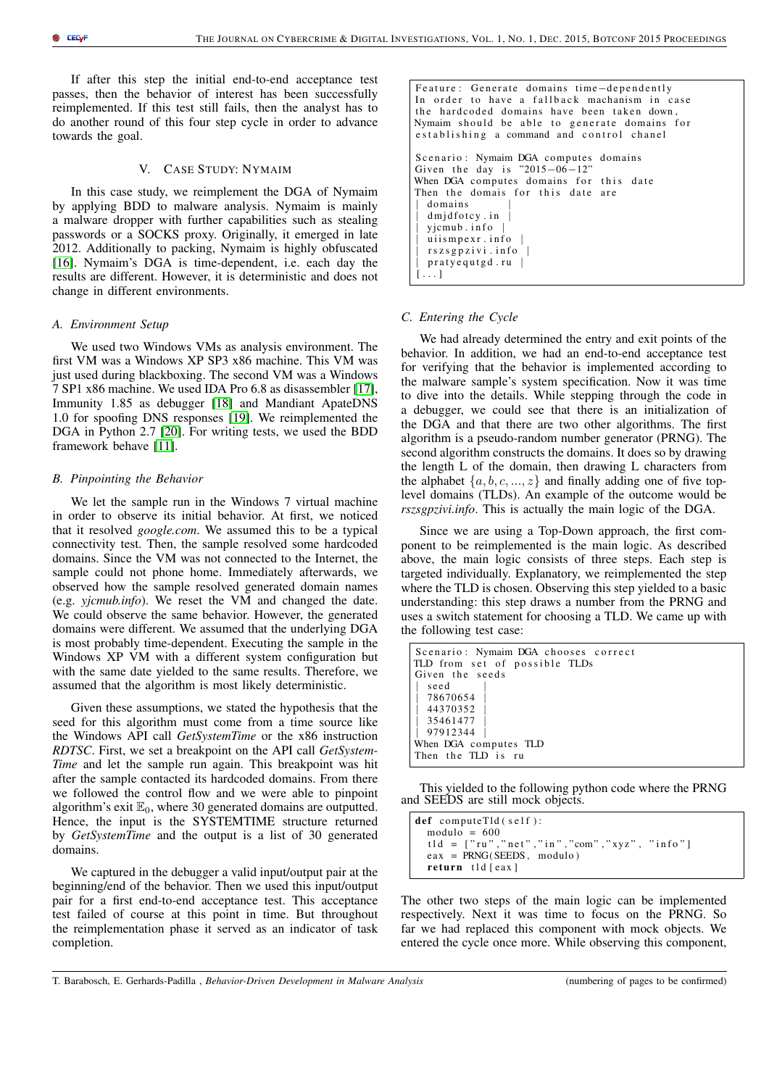If after this step the initial end-to-end acceptance test passes, then the behavior of interest has been successfully reimplemented. If this test still fails, then the analyst has to do another round of this four step cycle in order to advance towards the goal.

## V. CASE STUDY: NYMAIM

In this case study, we reimplement the DGA of Nymaim by applying BDD to malware analysis. Nymaim is mainly a malware dropper with further capabilities such as stealing passwords or a SOCKS proxy. Originally, it emerged in late 2012. Additionally to packing, Nymaim is highly obfuscated [\[16\]](#page-7-3). Nymaim's DGA is time-dependent, i.e. each day the results are different. However, it is deterministic and does not change in different environments.

#### *A. Environment Setup*

We used two Windows VMs as analysis environment. The first VM was a Windows XP SP3 x86 machine. This VM was just used during blackboxing. The second VM was a Windows 7 SP1 x86 machine. We used IDA Pro 6.8 as disassembler [\[17\]](#page-7-4), Immunity 1.85 as debugger [\[18\]](#page-7-5) and Mandiant ApateDNS 1.0 for spoofing DNS responses [\[19\]](#page-7-6). We reimplemented the DGA in Python 2.7 [\[20\]](#page-7-7). For writing tests, we used the BDD framework behave [\[11\]](#page-6-10).

# *B. Pinpointing the Behavior*

We let the sample run in the Windows 7 virtual machine in order to observe its initial behavior. At first, we noticed that it resolved *google.com*. We assumed this to be a typical connectivity test. Then, the sample resolved some hardcoded domains. Since the VM was not connected to the Internet, the sample could not phone home. Immediately afterwards, we observed how the sample resolved generated domain names (e.g. *yjcmub.info*). We reset the VM and changed the date. We could observe the same behavior. However, the generated domains were different. We assumed that the underlying DGA is most probably time-dependent. Executing the sample in the Windows XP VM with a different system configuration but with the same date yielded to the same results. Therefore, we assumed that the algorithm is most likely deterministic.

Given these assumptions, we stated the hypothesis that the seed for this algorithm must come from a time source like the Windows API call *GetSystemTime* or the x86 instruction *RDTSC*. First, we set a breakpoint on the API call *GetSystem-Time* and let the sample run again. This breakpoint was hit after the sample contacted its hardcoded domains. From there we followed the control flow and we were able to pinpoint algorithm's exit  $\mathbb{E}_0$ , where 30 generated domains are outputted. Hence, the input is the SYSTEMTIME structure returned by *GetSystemTime* and the output is a list of 30 generated domains.

We captured in the debugger a valid input/output pair at the beginning/end of the behavior. Then we used this input/output pair for a first end-to-end acceptance test. This acceptance test failed of course at this point in time. But throughout the reimplementation phase it served as an indicator of task completion.

```
Feature: Generate domains time-dependently
In order to have a fallback machanism in case
the hardcoded domains have been taken down,
Nymaim should be able to generate domains for
e stablishing a command and control chanel
Scenario: Nymaim DGA computes domains
Given the day is "2015-06-12"
When DGA computes domains for this date
Then the domais for this date are
  d omains
  dmjdfotcy.in
 | yjcmub . i n f o |
  ui i s m p e x r . in f o
  rszsgpzivi. info
  praty equtgd.ru |
[\ldots]
```
## *C. Entering the Cycle*

We had already determined the entry and exit points of the behavior. In addition, we had an end-to-end acceptance test for verifying that the behavior is implemented according to the malware sample's system specification. Now it was time to dive into the details. While stepping through the code in a debugger, we could see that there is an initialization of the DGA and that there are two other algorithms. The first algorithm is a pseudo-random number generator (PRNG). The second algorithm constructs the domains. It does so by drawing the length L of the domain, then drawing L characters from the alphabet  $\{a, b, c, ..., z\}$  and finally adding one of five toplevel domains (TLDs). An example of the outcome would be *rszsgpzivi.info*. This is actually the main logic of the DGA.

Since we are using a Top-Down approach, the first component to be reimplemented is the main logic. As described above, the main logic consists of three steps. Each step is targeted individually. Explanatory, we reimplemented the step where the TLD is chosen. Observing this step yielded to a basic understanding: this step draws a number from the PRNG and uses a switch statement for choosing a TLD. We came up with the following test case:

```
Scenario: Nymaim DGA chooses correct
TLD from set of possible TLDs
Given the seeds
  seed
  | 78670654 |
  | 44370352 |
  | 35461477 |
  | 97912344 |
When DGA computes TLD
Then the TLD is ru
```
This yielded to the following python code where the PRNG and SEEDS are still mock objects.

```
def computeTld (self):
  module = 600t 1 d = ['ru", "net", "in", "com", "xyz", "info"]eax = PRNG(SEEDS, modulo)return tld [eax]
```
The other two steps of the main logic can be implemented respectively. Next it was time to focus on the PRNG. So far we had replaced this component with mock objects. We entered the cycle once more. While observing this component,

```
T. Barabosch, E. Gerhards-Padilla , Behavior-Driven Development in Malware Analysis (numbering of pages to be confirmed)
```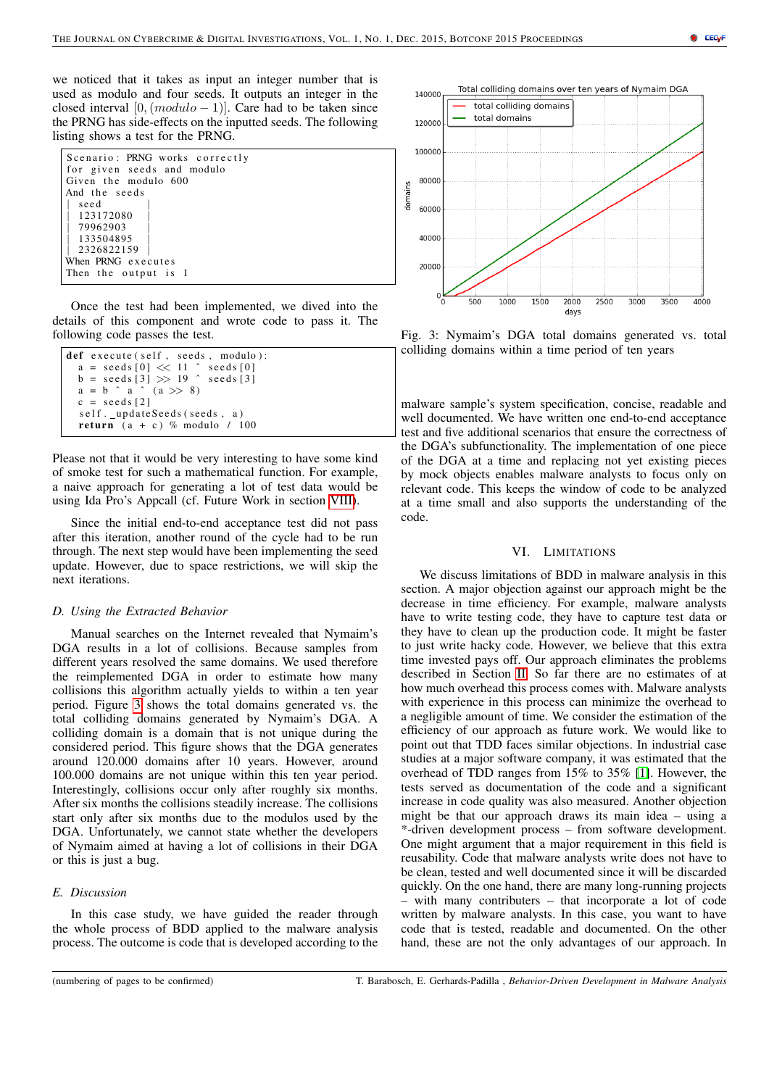we noticed that it takes as input an integer number that is used as modulo and four seeds. It outputs an integer in the closed interval [0,  $(modulo - 1)$ ]. Care had to be taken since the PRNG has side-effects on the inputted seeds. The following listing shows a test for the PRNG.

| Scenario: PRNG works correctly |
|--------------------------------|
| for given seeds and modulo     |
| Given the modulo 600           |
| And the seeds                  |
| seed                           |
| 123172080                      |
| 79962903                       |
| 133504895                      |
| 2326822159                     |
| When PRNG executes             |
| Then the output is 1           |

Once the test had been implemented, we dived into the details of this component and wrote code to pass it. The following code passes the test.

```
def execute (self, seeds, modulo):
  a = \text{seeds} [0] \ll 11 \text{seeds} [0]b = \text{seeds} [3] >> 19 \degree seeds [3]
  a = b \land a \land (a \gg 8)c = seeds [2]
  s e l f . _ u p d a t e S e e d s ( s e e d s , a )
  return (a + c) % modulo / 100
```
Please not that it would be very interesting to have some kind of smoke test for such a mathematical function. For example, a naive approach for generating a lot of test data would be using Ida Pro's Appcall (cf. Future Work in section [VIII\)](#page-6-12).

Since the initial end-to-end acceptance test did not pass after this iteration, another round of the cycle had to be run through. The next step would have been implementing the seed update. However, due to space restrictions, we will skip the next iterations.

# *D. Using the Extracted Behavior*

Manual searches on the Internet revealed that Nymaim's DGA results in a lot of collisions. Because samples from different years resolved the same domains. We used therefore the reimplemented DGA in order to estimate how many collisions this algorithm actually yields to within a ten year period. Figure [3](#page-5-0) shows the total domains generated vs. the total colliding domains generated by Nymaim's DGA. A colliding domain is a domain that is not unique during the considered period. This figure shows that the DGA generates around 120.000 domains after 10 years. However, around 100.000 domains are not unique within this ten year period. Interestingly, collisions occur only after roughly six months. After six months the collisions steadily increase. The collisions start only after six months due to the modulos used by the DGA. Unfortunately, we cannot state whether the developers of Nymaim aimed at having a lot of collisions in their DGA or this is just a bug.

# *E. Discussion*

In this case study, we have guided the reader through the whole process of BDD applied to the malware analysis process. The outcome is code that is developed according to the

<span id="page-5-0"></span>

Fig. 3: Nymaim's DGA total domains generated vs. total colliding domains within a time period of ten years

malware sample's system specification, concise, readable and well documented. We have written one end-to-end acceptance test and five additional scenarios that ensure the correctness of the DGA's subfunctionality. The implementation of one piece of the DGA at a time and replacing not yet existing pieces by mock objects enables malware analysts to focus only on relevant code. This keeps the window of code to be analyzed at a time small and also supports the understanding of the code.

## VI. LIMITATIONS

We discuss limitations of BDD in malware analysis in this section. A major objection against our approach might be the decrease in time efficiency. For example, malware analysts have to write testing code, they have to capture test data or they have to clean up the production code. It might be faster to just write hacky code. However, we believe that this extra time invested pays off. Our approach eliminates the problems described in Section [II.](#page-1-0) So far there are no estimates of at how much overhead this process comes with. Malware analysts with experience in this process can minimize the overhead to a negligible amount of time. We consider the estimation of the efficiency of our approach as future work. We would like to point out that TDD faces similar objections. In industrial case studies at a major software company, it was estimated that the overhead of TDD ranges from 15% to 35% [\[1\]](#page-6-0). However, the tests served as documentation of the code and a significant increase in code quality was also measured. Another objection might be that our approach draws its main idea – using a \*-driven development process – from software development. One might argument that a major requirement in this field is reusability. Code that malware analysts write does not have to be clean, tested and well documented since it will be discarded quickly. On the one hand, there are many long-running projects – with many contributers – that incorporate a lot of code written by malware analysts. In this case, you want to have code that is tested, readable and documented. On the other hand, these are not the only advantages of our approach. In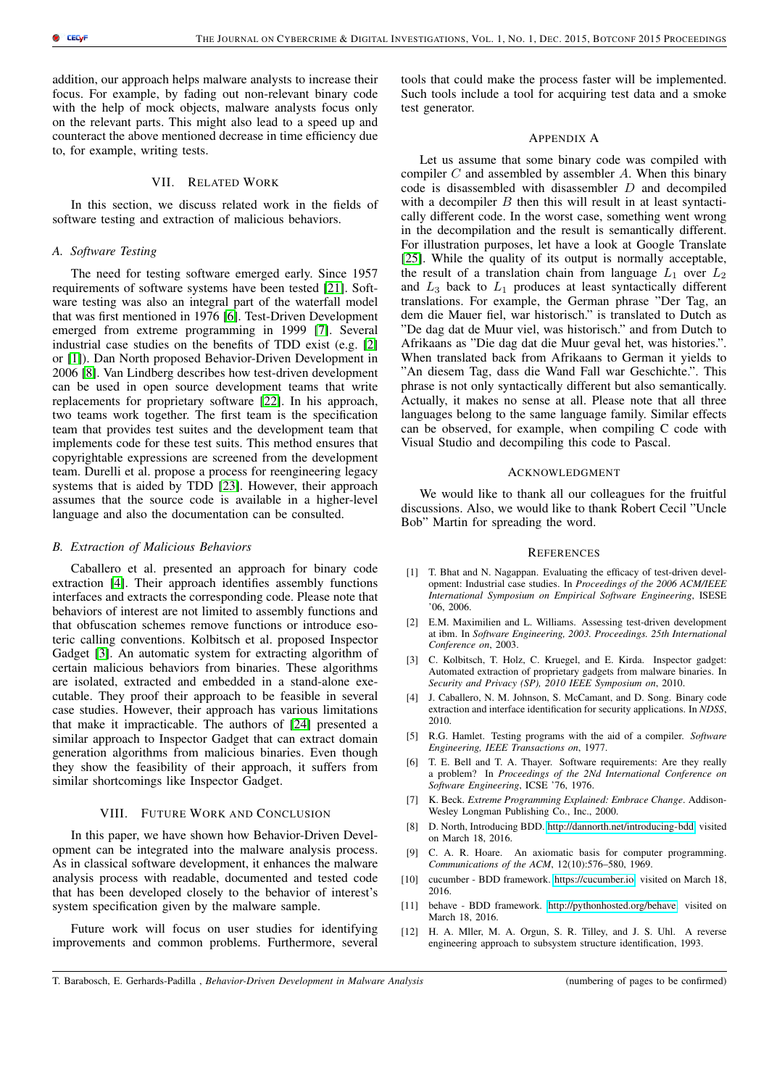addition, our approach helps malware analysts to increase their focus. For example, by fading out non-relevant binary code with the help of mock objects, malware analysts focus only on the relevant parts. This might also lead to a speed up and counteract the above mentioned decrease in time efficiency due to, for example, writing tests.

# VII. RELATED WORK

In this section, we discuss related work in the fields of software testing and extraction of malicious behaviors.

# *A. Software Testing*

The need for testing software emerged early. Since 1957 requirements of software systems have been tested [\[21\]](#page-7-8). Software testing was also an integral part of the waterfall model that was first mentioned in 1976 [\[6\]](#page-6-5). Test-Driven Development emerged from extreme programming in 1999 [\[7\]](#page-6-6). Several industrial case studies on the benefits of TDD exist (e.g. [\[2\]](#page-6-1) or [\[1\]](#page-6-0)). Dan North proposed Behavior-Driven Development in 2006 [\[8\]](#page-6-7). Van Lindberg describes how test-driven development can be used in open source development teams that write replacements for proprietary software [\[22\]](#page-7-9). In his approach, two teams work together. The first team is the specification team that provides test suites and the development team that implements code for these test suits. This method ensures that copyrightable expressions are screened from the development team. Durelli et al. propose a process for reengineering legacy systems that is aided by TDD [\[23\]](#page-7-10). However, their approach assumes that the source code is available in a higher-level language and also the documentation can be consulted.

## *B. Extraction of Malicious Behaviors*

Caballero et al. presented an approach for binary code extraction [\[4\]](#page-6-3). Their approach identifies assembly functions interfaces and extracts the corresponding code. Please note that behaviors of interest are not limited to assembly functions and that obfuscation schemes remove functions or introduce esoteric calling conventions. Kolbitsch et al. proposed Inspector Gadget [\[3\]](#page-6-2). An automatic system for extracting algorithm of certain malicious behaviors from binaries. These algorithms are isolated, extracted and embedded in a stand-alone executable. They proof their approach to be feasible in several case studies. However, their approach has various limitations that make it impracticable. The authors of [\[24\]](#page-7-11) presented a similar approach to Inspector Gadget that can extract domain generation algorithms from malicious binaries. Even though they show the feasibility of their approach, it suffers from similar shortcomings like Inspector Gadget.

# VIII. FUTURE WORK AND CONCLUSION

<span id="page-6-12"></span>In this paper, we have shown how Behavior-Driven Development can be integrated into the malware analysis process. As in classical software development, it enhances the malware analysis process with readable, documented and tested code that has been developed closely to the behavior of interest's system specification given by the malware sample.

Future work will focus on user studies for identifying improvements and common problems. Furthermore, several tools that could make the process faster will be implemented. Such tools include a tool for acquiring test data and a smoke test generator.

# APPENDIX A

Let us assume that some binary code was compiled with compiler  $C$  and assembled by assembler  $A$ . When this binary code is disassembled with disassembler D and decompiled with a decompiler  $B$  then this will result in at least syntactically different code. In the worst case, something went wrong in the decompilation and the result is semantically different. For illustration purposes, let have a look at Google Translate [\[25\]](#page-7-12). While the quality of its output is normally acceptable, the result of a translation chain from language  $L_1$  over  $L_2$ and  $L_3$  back to  $L_1$  produces at least syntactically different translations. For example, the German phrase "Der Tag, an dem die Mauer fiel, war historisch." is translated to Dutch as "De dag dat de Muur viel, was historisch." and from Dutch to Afrikaans as "Die dag dat die Muur geval het, was histories.". When translated back from Afrikaans to German it yields to "An diesem Tag, dass die Wand Fall war Geschichte.". This phrase is not only syntactically different but also semantically. Actually, it makes no sense at all. Please note that all three languages belong to the same language family. Similar effects can be observed, for example, when compiling C code with Visual Studio and decompiling this code to Pascal.

## ACKNOWLEDGMENT

We would like to thank all our colleagues for the fruitful discussions. Also, we would like to thank Robert Cecil "Uncle Bob" Martin for spreading the word.

#### **REFERENCES**

- <span id="page-6-0"></span>[1] T. Bhat and N. Nagappan. Evaluating the efficacy of test-driven development: Industrial case studies. In *Proceedings of the 2006 ACM/IEEE International Symposium on Empirical Software Engineering*, ISESE '06, 2006.
- <span id="page-6-1"></span>[2] E.M. Maximilien and L. Williams. Assessing test-driven development at ibm. In *Software Engineering, 2003. Proceedings. 25th International Conference on*, 2003.
- <span id="page-6-2"></span>[3] C. Kolbitsch, T. Holz, C. Kruegel, and E. Kirda. Inspector gadget: Automated extraction of proprietary gadgets from malware binaries. In *Security and Privacy (SP), 2010 IEEE Symposium on*, 2010.
- <span id="page-6-3"></span>[4] J. Caballero, N. M. Johnson, S. McCamant, and D. Song. Binary code extraction and interface identification for security applications. In *NDSS*, 2010.
- <span id="page-6-4"></span>[5] R.G. Hamlet. Testing programs with the aid of a compiler. *Software Engineering, IEEE Transactions on*, 1977.
- <span id="page-6-5"></span>[6] T. E. Bell and T. A. Thayer. Software requirements: Are they really a problem? In *Proceedings of the 2Nd International Conference on Software Engineering*, ICSE '76, 1976.
- <span id="page-6-6"></span>[7] K. Beck. *Extreme Programming Explained: Embrace Change*. Addison-Wesley Longman Publishing Co., Inc., 2000.
- <span id="page-6-7"></span>[8] D. North, Introducing BDD. [http://dannorth.net/introducing-bdd.](http://dannorth.net/introducing-bdd) visited on March 18, 2016.
- <span id="page-6-8"></span>[9] C. A. R. Hoare. An axiomatic basis for computer programming. *Communications of the ACM*, 12(10):576–580, 1969.
- <span id="page-6-9"></span>[10] cucumber - BDD framework. [https://cucumber.io.](https://cucumber.io) visited on March 18, 2016.
- <span id="page-6-10"></span>[11] behave - BDD framework. [http://pythonhosted.org/behave.](http://pythonhosted.org/behave) visited on March 18, 2016.
- <span id="page-6-11"></span>[12] H. A. Mller, M. A. Orgun, S. R. Tilley, and J. S. Uhl. A reverse engineering approach to subsystem structure identification, 1993.

T. Barabosch, E. Gerhards-Padilla , *Behavior-Driven Development in Malware Analysis* (numbering of pages to be confirmed)